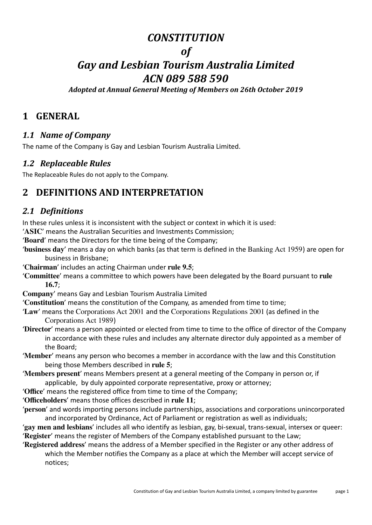# *CONSTITUTION*

# *of*

# *Gay and Lesbian Tourism Australia Limited ACN 089 588 590*

*Adopted at Annual General Meeting of Members on 26th October 2019*

## **1 GENERAL**

## *1.1 Name of Company*

The name of the Company is Gay and Lesbian Tourism Australia Limited.

### *1.2 Replaceable Rules*

The Replaceable Rules do not apply to the Company.

# **2 DEFINITIONS AND INTERPRETATION**

## *2.1 Definitions*

In these rules unless it is inconsistent with the subject or context in which it is used:

'**ASIC**' means the Australian Securities and Investments Commission;

'**Board**' means the Directors for the time being of the Company;

- '**business day**' means a day on which banks (as that term is defined in the Banking Act 1959) are open for business in Brisbane;
- '**Chairman**' includes an acting Chairman under **rule 9.5**;
- '**Committee**' means a committee to which powers have been delegated by the Board pursuant to **rule 16.7**;
- **Company**' means Gay and Lesbian Tourism Australia Limited

'**Constitution**' means the constitution of the Company, as amended from time to time;

- '**Law**' means the Corporations Act 2001 and the Corporations Regulations 2001 (as defined in the Corporations Act 1989)
- '**Director**' means a person appointed or elected from time to time to the office of director of the Company in accordance with these rules and includes any alternate director duly appointed as a member of the Board;

'**Member**' means any person who becomes a member in accordance with the law and this Constitution being those Members described in **rule 5**;

'**Members present**' means Members present at a general meeting of the Company in person or, if applicable, by duly appointed corporate representative, proxy or attorney;

'**Office**' means the registered office from time to time of the Company;

- '**Officeholders**' means those offices described in **rule 11**;
- '**person**' and words importing persons include partnerships, associations and corporations unincorporated and incorporated by Ordinance, Act of Parliament or registration as well as individuals;

'**gay men and lesbians**' includes all who identify as lesbian, gay, bi-sexual, trans-sexual, intersex or queer: '**Register**' means the register of Members of the Company established pursuant to the Law;

'**Registered address**' means the address of a Member specified in the Register or any other address of which the Member notifies the Company as a place at which the Member will accept service of notices;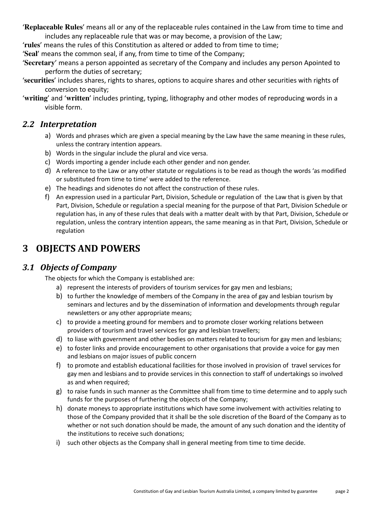'**Replaceable Rules**' means all or any of the replaceable rules contained in the Law from time to time and includes any replaceable rule that was or may become, a provision of the Law;

'**rules**' means the rules of this Constitution as altered or added to from time to time;

'**Seal**' means the common seal, if any, from time to time of the Company;

'**Secretary**' means a person appointed as secretary of the Company and includes any person Apointed to perform the duties of secretary;

'**securities**' includes shares, rights to shares, options to acquire shares and other securities with rights of conversion to equity;

'**writing**' and '**written**' includes printing, typing, lithography and other modes of reproducing words in a visible form.

#### *2.2 Interpretation*

- a) Words and phrases which are given a special meaning by the Law have the same meaning in these rules, unless the contrary intention appears.
- b) Words in the singular include the plural and vice versa.
- c) Words importing a gender include each other gender and non gender.
- d) A reference to the Law or any other statute or regulations is to be read as though the words 'as modified or substituted from time to time' were added to the reference.
- e) The headings and sidenotes do not affect the construction of these rules.
- f) An expression used in a particular Part, Division, Schedule or regulation of the Law that is given by that Part, Division, Schedule or regulation a special meaning for the purpose of that Part, Division Schedule or regulation has, in any of these rules that deals with a matter dealt with by that Part, Division, Schedule or regulation, unless the contrary intention appears, the same meaning as in that Part, Division, Schedule or regulation

# **3 OBJECTS AND POWERS**

#### *3.1 Objects of Company*

The objects for which the Company is established are:

- a) represent the interests of providers of tourism services for gay men and lesbians;
- b) to further the knowledge of members of the Company in the area of gay and lesbian tourism by seminars and lectures and by the dissemination of information and developments through regular newsletters or any other appropriate means;
- c) to provide a meeting ground for members and to promote closer working relations between providers of tourism and travel services for gay and lesbian travellers;
- d) to liase with government and other bodies on matters related to tourism for gay men and lesbians;
- e) to foster links and provide encouragement to other organisations that provide a voice for gay men and lesbians on major issues of public concern
- f) to promote and establish educational facilities for those involved in provision of travel services for gay men and lesbians and to provide services in this connection to staff of undertakings so involved as and when required;
- g) to raise funds in such manner as the Committee shall from time to time determine and to apply such funds for the purposes of furthering the objects of the Company;
- h) donate moneys to appropriate institutions which have some involvement with activities relating to those of the Company provided that it shall be the sole discretion of the Board of the Company as to whether or not such donation should be made, the amount of any such donation and the identity of the institutions to receive such donations;
- i) such other objects as the Company shall in general meeting from time to time decide.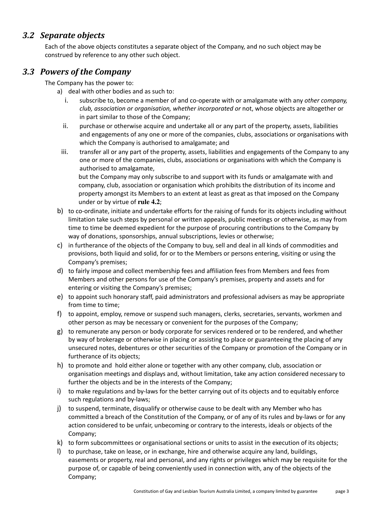### *3.2 Separate objects*

Each of the above objects constitutes a separate object of the Company, and no such object may be construed by reference to any other such object.

#### *3.3 Powers of the Company*

The Company has the power to:

- a) deal with other bodies and as such to:
	- i. subscribe to, become a member of and co-operate with or amalgamate with any *other company, club, association or organisation, whether incorporated or* not, whose objects are altogether or in part similar to those of the Company;
	- ii. purchase or otherwise acquire and undertake all or any part of the property, assets, liabilities and engagements of any one or more of the companies, clubs, associations or organisations with which the Company is authorised to amalgamate; and
- iii. transfer all or any part of the property, assets, liabilities and engagements of the Company to any one or more of the companies, clubs, associations or organisations with which the Company is authorised to amalgamate,

but the Company may only subscribe to and support with its funds or amalgamate with and company, club, association or organisation which prohibits the distribution of its income and property amongst its Members to an extent at least as great as that imposed on the Company under or by virtue of **rule 4.2**;

- b) to co-ordinate, initiate and undertake efforts for the raising of funds for its objects including without limitation take such steps by personal or written appeals, public meetings or otherwise, as may from time to time be deemed expedient for the purpose of procuring contributions to the Company by way of donations, sponsorships, annual subscriptions, levies or otherwise;
- c) in furtherance of the objects of the Company to buy, sell and deal in all kinds of commodities and provisions, both liquid and solid, for or to the Members or persons entering, visiting or using the Company's premises;
- d) to fairly impose and collect membership fees and affiliation fees from Members and fees from Members and other persons for use of the Company's premises, property and assets and for entering or visiting the Company's premises;
- e) to appoint such honorary staff, paid administrators and professional advisers as may be appropriate from time to time;
- f) to appoint, employ, remove or suspend such managers, clerks, secretaries, servants, workmen and other person as may be necessary or convenient for the purposes of the Company;
- g) to remunerate any person or body corporate for services rendered or to be rendered, and whether by way of brokerage or otherwise in placing or assisting to place or guaranteeing the placing of any unsecured notes, debentures or other securities of the Company or promotion of the Company or in furtherance of its objects;
- h) to promote and hold either alone or together with any other company, club, association or organisation meetings and displays and, without limitation, take any action considered necessary to further the objects and be in the interests of the Company;
- i) to make regulations and by-laws for the better carrying out of its objects and to equitably enforce such regulations and by-laws;
- j) to suspend, terminate, disqualify or otherwise cause to be dealt with any Member who has committed a breach of the Constitution of the Company, or of any of its rules and by-laws or for any action considered to be unfair, unbecoming or contrary to the interests, ideals or objects of the Company;
- k) to form subcommittees or organisational sections or units to assist in the execution of its objects;
- l) to purchase, take on lease, or in exchange, hire and otherwise acquire any land, buildings, easements or property, real and personal, and any rights or privileges which may be requisite for the purpose of, or capable of being conveniently used in connection with, any of the objects of the Company;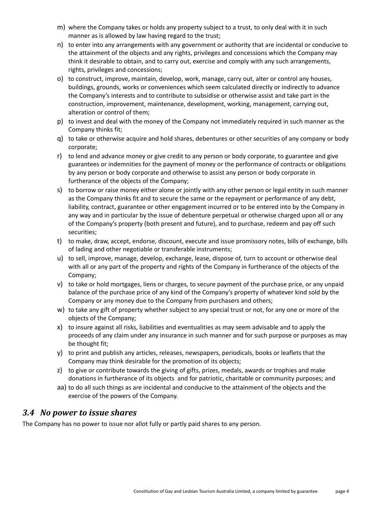- m) where the Company takes or holds any property subject to a trust, to only deal with it in such manner as is allowed by law having regard to the trust;
- n) to enter into any arrangements with any government or authority that are incidental or conducive to the attainment of the objects and any rights, privileges and concessions which the Company may think it desirable to obtain, and to carry out, exercise and comply with any such arrangements, rights, privileges and concessions;
- o) to construct, improve, maintain, develop, work, manage, carry out, alter or control any houses, buildings, grounds, works or conveniences which seem calculated directly or indirectly to advance the Company's interests and to contribute to subsidise or otherwise assist and take part in the construction, improvement, maintenance, development, working, management, carrying out, alteration or control of them;
- p) to invest and deal with the money of the Company not immediately required in such manner as the Company thinks fit;
- q) to take or otherwise acquire and hold shares, debentures or other securities of any company or body corporate;
- r) to lend and advance money or give credit to any person or body corporate, to guarantee and give guarantees or indemnities for the payment of money or the performance of contracts or obligations by any person or body corporate and otherwise to assist any person or body corporate in furtherance of the objects of the Company;
- s) to borrow or raise money either alone or jointly with any other person or legal entity in such manner as the Company thinks fit and to secure the same or the repayment or performance of any debt, liability, contract, guarantee or other engagement incurred or to be entered into by the Company in any way and in particular by the issue of debenture perpetual or otherwise charged upon all or any of the Company's property (both present and future), and to purchase, redeem and pay off such securities;
- t) to make, draw, accept, endorse, discount, execute and issue promissory notes, bills of exchange, bills of lading and other negotiable or transferable instruments;
- u) to sell, improve, manage, develop, exchange, lease, dispose of, turn to account or otherwise deal with all or any part of the property and rights of the Company in furtherance of the objects of the Company;
- v) to take or hold mortgages, liens or charges, to secure payment of the purchase price, or any unpaid balance of the purchase price of any kind of the Company's property of whatever kind sold by the Company or any money due to the Company from purchasers and others;
- w) to take any gift of property whether subject to any special trust or not, for any one or more of the objects of the Company;
- x) to insure against all risks, liabilities and eventualities as may seem advisable and to apply the proceeds of any claim under any insurance in such manner and for such purpose or purposes as may be thought fit;
- y) to print and publish any articles, releases, newspapers, periodicals, books or leaflets that the Company may think desirable for the promotion of its objects;
- z) to give or contribute towards the giving of gifts, prizes, medals, awards or trophies and make donations in furtherance of its objects and for patriotic, charitable or community purposes; and
- aa) to do all such things as are incidental and conducive to the attainment of the objects and the exercise of the powers of the Company.

#### *3.4 No power to issue shares*

The Company has no power to issue nor allot fully or partly paid shares to any person.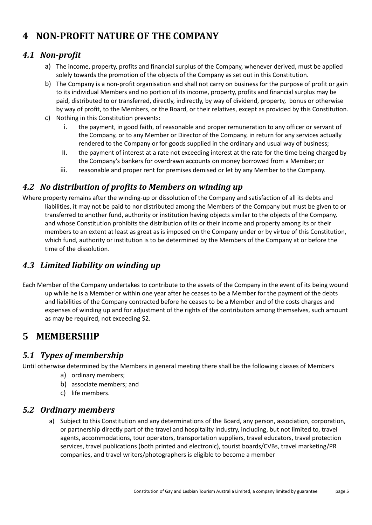# **4 NON-PROFIT NATURE OF THE COMPANY**

### *4.1 Non-profit*

- a) The income, property, profits and financial surplus of the Company, whenever derived, must be applied solely towards the promotion of the objects of the Company as set out in this Constitution.
- b) The Company is a non-profit organisation and shall not carry on business for the purpose of profit or gain to its individual Members and no portion of its income, property, profits and financial surplus may be paid, distributed to or transferred, directly, indirectly, by way of dividend, property, bonus or otherwise by way of profit, to the Members, or the Board, or their relatives, except as provided by this Constitution.
- c) Nothing in this Constitution prevents:
	- i. the payment, in good faith, of reasonable and proper remuneration to any officer or servant of the Company, or to any Member or Director of the Company, in return for any services actually rendered to the Company or for goods supplied in the ordinary and usual way of business;
	- ii. the payment of interest at a rate not exceeding interest at the rate for the time being charged by the Company's bankers for overdrawn accounts on money borrowed from a Member; or
	- iii. reasonable and proper rent for premises demised or let by any Member to the Company.

### *4.2 No distribution of profits to Members on winding up*

Where property remains after the winding-up or dissolution of the Company and satisfaction of all its debts and liabilities, it may not be paid to nor distributed among the Members of the Company but must be given to or transferred to another fund, authority or institution having objects similar to the objects of the Company, and whose Constitution prohibits the distribution of its or their income and property among its or their members to an extent at least as great as is imposed on the Company under or by virtue of this Constitution, which fund, authority or institution is to be determined by the Members of the Company at or before the time of the dissolution.

## *4.3 Limited liability on winding up*

Each Member of the Company undertakes to contribute to the assets of the Company in the event of its being wound up while he is a Member or within one year after he ceases to be a Member for the payment of the debts and liabilities of the Company contracted before he ceases to be a Member and of the costs charges and expenses of winding up and for adjustment of the rights of the contributors among themselves, such amount as may be required, not exceeding \$2.

## **5 MEMBERSHIP**

#### *5.1 Types of membership*

Until otherwise determined by the Members in general meeting there shall be the following classes of Members

- a) ordinary members;
- b) associate members; and
- c) life members.

#### *5.2 Ordinary members*

a) Subject to this Constitution and any determinations of the Board, any person, association, corporation, or partnership directly part of the travel and hospitality industry, including, but not limited to, travel agents, accommodations, tour operators, transportation suppliers, travel educators, travel protection services, travel publications (both printed and electronic), tourist boards/CVBs, travel marketing/PR companies, and travel writers/photographers is eligible to become a member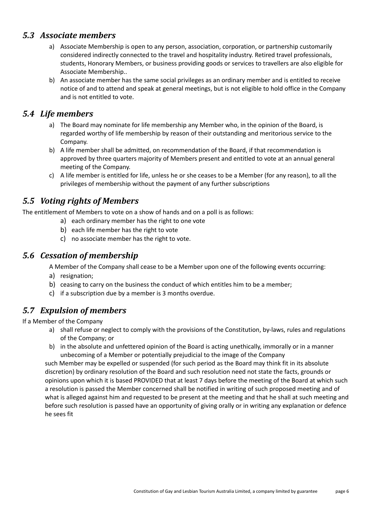#### *5.3 Associate members*

- a) Associate Membership is open to any person, association, corporation, or partnership customarily considered indirectly connected to the travel and hospitality industry. Retired travel professionals, students, Honorary Members, or business providing goods or services to travellers are also eligible for Associate Membership..
- b) An associate member has the same social privileges as an ordinary member and is entitled to receive notice of and to attend and speak at general meetings, but is not eligible to hold office in the Company and is not entitled to vote.

#### *5.4 Life members*

- a) The Board may nominate for life membership any Member who, in the opinion of the Board, is regarded worthy of life membership by reason of their outstanding and meritorious service to the Company.
- b) A life member shall be admitted, on recommendation of the Board, if that recommendation is approved by three quarters majority of Members present and entitled to vote at an annual general meeting of the Company.
- c) A life member is entitled for life, unless he or she ceases to be a Member (for any reason), to all the privileges of membership without the payment of any further subscriptions

### *5.5 Voting rights of Members*

The entitlement of Members to vote on a show of hands and on a poll is as follows:

- a) each ordinary member has the right to one vote
- b) each life member has the right to vote
- c) no associate member has the right to vote.

#### *5.6 Cessation of membership*

A Member of the Company shall cease to be a Member upon one of the following events occurring:

- a) resignation;
- b) ceasing to carry on the business the conduct of which entitles him to be a member;
- c) if a subscription due by a member is 3 months overdue.

## *5.7 Expulsion of members*

If a Member of the Company

- a) shall refuse or neglect to comply with the provisions of the Constitution, by-laws, rules and regulations of the Company; or
- b) in the absolute and unfettered opinion of the Board is acting unethically, immorally or in a manner unbecoming of a Member or potentially prejudicial to the image of the Company

such Member may be expelled or suspended (for such period as the Board may think fit in its absolute discretion) by ordinary resolution of the Board and such resolution need not state the facts, grounds or opinions upon which it is based PROVIDED that at least 7 days before the meeting of the Board at which such a resolution is passed the Member concerned shall be notified in writing of such proposed meeting and of what is alleged against him and requested to be present at the meeting and that he shall at such meeting and before such resolution is passed have an opportunity of giving orally or in writing any explanation or defence he sees fit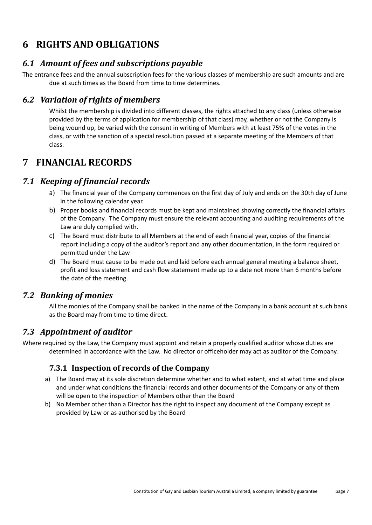# **6 RIGHTS AND OBLIGATIONS**

## *6.1 Amount of fees and subscriptions payable*

The entrance fees and the annual subscription fees for the various classes of membership are such amounts and are due at such times as the Board from time to time determines.

## *6.2 Variation of rights of members*

Whilst the membership is divided into different classes, the rights attached to any class (unless otherwise provided by the terms of application for membership of that class) may, whether or not the Company is being wound up, be varied with the consent in writing of Members with at least 75% of the votes in the class, or with the sanction of a special resolution passed at a separate meeting of the Members of that class.

# **7 FINANCIAL RECORDS**

## *7.1 Keeping of financial records*

- a) The financial year of the Company commences on the first day of July and ends on the 30th day of June in the following calendar year.
- b) Proper books and financial records must be kept and maintained showing correctly the financial affairs of the Company. The Company must ensure the relevant accounting and auditing requirements of the Law are duly complied with.
- c) The Board must distribute to all Members at the end of each financial year, copies of the financial report including a copy of the auditor's report and any other documentation, in the form required or permitted under the Law
- d) The Board must cause to be made out and laid before each annual general meeting a balance sheet, profit and loss statement and cash flow statement made up to a date not more than 6 months before the date of the meeting.

## *7.2 Banking of monies*

All the monies of the Company shall be banked in the name of the Company in a bank account at such bank as the Board may from time to time direct.

## *7.3 Appointment of auditor*

Where required by the Law, the Company must appoint and retain a properly qualified auditor whose duties are determined in accordance with the Law. No director or officeholder may act as auditor of the Company.

#### **7.3.1 Inspection of records of the Company**

- a) The Board may at its sole discretion determine whether and to what extent, and at what time and place and under what conditions the financial records and other documents of the Company or any of them will be open to the inspection of Members other than the Board
- b) No Member other than a Director has the right to inspect any document of the Company except as provided by Law or as authorised by the Board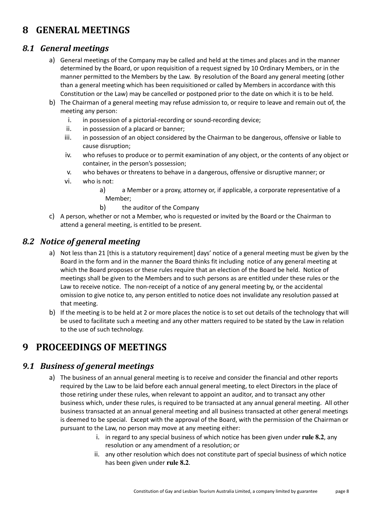# **8 GENERAL MEETINGS**

#### *8.1 General meetings*

- a) General meetings of the Company may be called and held at the times and places and in the manner determined by the Board, or upon requisition of a request signed by 10 Ordinary Members, or in the manner permitted to the Members by the Law. By resolution of the Board any general meeting (other than a general meeting which has been requisitioned or called by Members in accordance with this Constitution or the Law) may be cancelled or postponed prior to the date on which it is to be held.
- b) The Chairman of a general meeting may refuse admission to, or require to leave and remain out of, the meeting any person:
	- i. in possession of a pictorial-recording or sound-recording device;
	- ii. in possession of a placard or banner;
	- iii. in possession of an object considered by the Chairman to be dangerous, offensive or liable to cause disruption;
	- iv. who refuses to produce or to permit examination of any object, or the contents of any object or container, in the person's possession;
	- v. who behaves or threatens to behave in a dangerous, offensive or disruptive manner; or
	- vi. who is not:
		- a) a Member or a proxy, attorney or, if applicable, a corporate representative of a Member;
		- b) the auditor of the Company
- c) A person, whether or not a Member, who is requested or invited by the Board or the Chairman to attend a general meeting, is entitled to be present.

### *8.2 Notice of general meeting*

- a) Not less than 21 [this is a statutory requirement] days' notice of a general meeting must be given by the Board in the form and in the manner the Board thinks fit including notice of any general meeting at which the Board proposes or these rules require that an election of the Board be held. Notice of meetings shall be given to the Members and to such persons as are entitled under these rules or the Law to receive notice. The non-receipt of a notice of any general meeting by, or the accidental omission to give notice to, any person entitled to notice does not invalidate any resolution passed at that meeting.
- b) If the meeting is to be held at 2 or more places the notice is to set out details of the technology that will be used to facilitate such a meeting and any other matters required to be stated by the Law in relation to the use of such technology.

# **9 PROCEEDINGS OF MEETINGS**

#### *9.1 Business of general meetings*

- a) The business of an annual general meeting is to receive and consider the financial and other reports required by the Law to be laid before each annual general meeting, to elect Directors in the place of those retiring under these rules, when relevant to appoint an auditor, and to transact any other business which, under these rules, is required to be transacted at any annual general meeting. All other business transacted at an annual general meeting and all business transacted at other general meetings is deemed to be special. Except with the approval of the Board, with the permission of the Chairman or pursuant to the Law, no person may move at any meeting either:
	- i. in regard to any special business of which notice has been given under **rule 8.2**, any resolution or any amendment of a resolution; or
	- ii. any other resolution which does not constitute part of special business of which notice has been given under **rule 8.2**.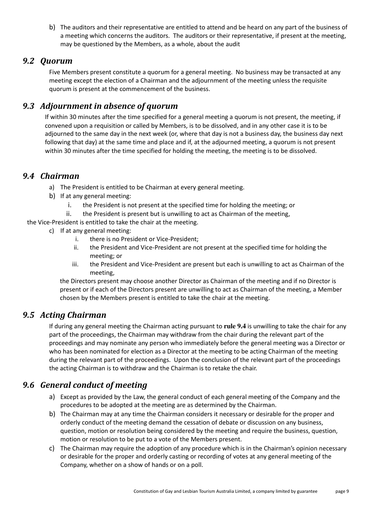b) The auditors and their representative are entitled to attend and be heard on any part of the business of a meeting which concerns the auditors. The auditors or their representative, if present at the meeting, may be questioned by the Members, as a whole, about the audit

#### *9.2 Quorum*

Five Members present constitute a quorum for a general meeting. No business may be transacted at any meeting except the election of a Chairman and the adjournment of the meeting unless the requisite quorum is present at the commencement of the business.

#### *9.3 Adjournment in absence of quorum*

If within 30 minutes after the time specified for a general meeting a quorum is not present, the meeting, if convened upon a requisition or called by Members, is to be dissolved, and in any other case it is to be adjourned to the same day in the next week (or, where that day is not a business day, the business day next following that day) at the same time and place and if, at the adjourned meeting, a quorum is not present within 30 minutes after the time specified for holding the meeting, the meeting is to be dissolved.

#### *9.4 Chairman*

- a) The President is entitled to be Chairman at every general meeting.
- b) If at any general meeting:
	- i. the President is not present at the specified time for holding the meeting; or
	- ii. the President is present but is unwilling to act as Chairman of the meeting,

the Vice-President is entitled to take the chair at the meeting.

- c) If at any general meeting:
	- i. there is no President or Vice-President;
	- ii. the President and Vice-President are not present at the specified time for holding the meeting; or
	- iii. the President and Vice-President are present but each is unwilling to act as Chairman of the meeting,

the Directors present may choose another Director as Chairman of the meeting and if no Director is present or if each of the Directors present are unwilling to act as Chairman of the meeting, a Member chosen by the Members present is entitled to take the chair at the meeting.

### *9.5 Acting Chairman*

If during any general meeting the Chairman acting pursuant to **rule 9.4** is unwilling to take the chair for any part of the proceedings, the Chairman may withdraw from the chair during the relevant part of the proceedings and may nominate any person who immediately before the general meeting was a Director or who has been nominated for election as a Director at the meeting to be acting Chairman of the meeting during the relevant part of the proceedings. Upon the conclusion of the relevant part of the proceedings the acting Chairman is to withdraw and the Chairman is to retake the chair.

#### *9.6 General conduct of meeting*

- a) Except as provided by the Law, the general conduct of each general meeting of the Company and the procedures to be adopted at the meeting are as determined by the Chairman.
- b) The Chairman may at any time the Chairman considers it necessary or desirable for the proper and orderly conduct of the meeting demand the cessation of debate or discussion on any business, question, motion or resolution being considered by the meeting and require the business, question, motion or resolution to be put to a vote of the Members present.
- c) The Chairman may require the adoption of any procedure which is in the Chairman's opinion necessary or desirable for the proper and orderly casting or recording of votes at any general meeting of the Company, whether on a show of hands or on a poll.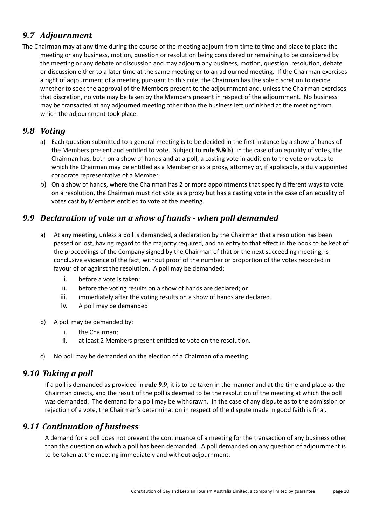## *9.7 Adjournment*

The Chairman may at any time during the course of the meeting adjourn from time to time and place to place the meeting or any business, motion, question or resolution being considered or remaining to be considered by the meeting or any debate or discussion and may adjourn any business, motion, question, resolution, debate or discussion either to a later time at the same meeting or to an adjourned meeting. If the Chairman exercises a right of adjournment of a meeting pursuant to this rule, the Chairman has the sole discretion to decide whether to seek the approval of the Members present to the adjournment and, unless the Chairman exercises that discretion, no vote may be taken by the Members present in respect of the adjournment. No business may be transacted at any adjourned meeting other than the business left unfinished at the meeting from which the adjournment took place.

## *9.8 Voting*

- a) Each question submitted to a general meeting is to be decided in the first instance by a show of hands of the Members present and entitled to vote. Subject to **rule 9.8(b)**, in the case of an equality of votes, the Chairman has, both on a show of hands and at a poll, a casting vote in addition to the vote or votes to which the Chairman may be entitled as a Member or as a proxy, attorney or, if applicable, a duly appointed corporate representative of a Member.
- b) On a show of hands, where the Chairman has 2 or more appointments that specify different ways to vote on a resolution, the Chairman must not vote as a proxy but has a casting vote in the case of an equality of votes cast by Members entitled to vote at the meeting.

## *9.9 Declaration of vote on a show of hands - when poll demanded*

- a) At any meeting, unless a poll is demanded, a declaration by the Chairman that a resolution has been passed or lost, having regard to the majority required, and an entry to that effect in the book to be kept of the proceedings of the Company signed by the Chairman of that or the next succeeding meeting, is conclusive evidence of the fact, without proof of the number or proportion of the votes recorded in favour of or against the resolution. A poll may be demanded:
	- i. before a vote is taken;
	- ii. before the voting results on a show of hands are declared; or
	- iii. immediately after the voting results on a show of hands are declared.
	- iv. A poll may be demanded
- b) A poll may be demanded by:
	- i. the Chairman;
	- ii. at least 2 Members present entitled to vote on the resolution.
- c) No poll may be demanded on the election of a Chairman of a meeting.

#### *9.10 Taking a poll*

If a poll is demanded as provided in **rule 9.9**, it is to be taken in the manner and at the time and place as the Chairman directs, and the result of the poll is deemed to be the resolution of the meeting at which the poll was demanded. The demand for a poll may be withdrawn. In the case of any dispute as to the admission or rejection of a vote, the Chairman's determination in respect of the dispute made in good faith is final.

#### *9.11 Continuation of business*

A demand for a poll does not prevent the continuance of a meeting for the transaction of any business other than the question on which a poll has been demanded. A poll demanded on any question of adjournment is to be taken at the meeting immediately and without adjournment.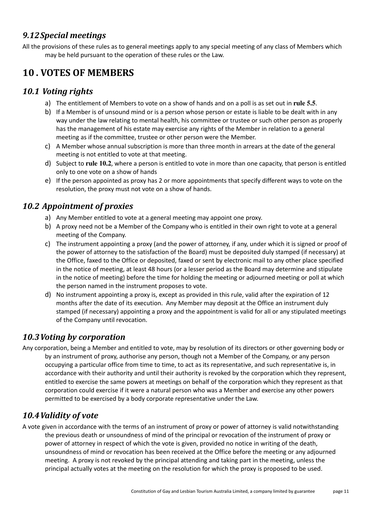## *9.12Special meetings*

All the provisions of these rules as to general meetings apply to any special meeting of any class of Members which may be held pursuant to the operation of these rules or the Law.

# **10 . VOTES OF MEMBERS**

#### *10.1 Voting rights*

- a) The entitlement of Members to vote on a show of hands and on a poll is as set out in **rule 5.5**.
- b) If a Member is of unsound mind or is a person whose person or estate is liable to be dealt with in any way under the law relating to mental health, his committee or trustee or such other person as properly has the management of his estate may exercise any rights of the Member in relation to a general meeting as if the committee, trustee or other person were the Member.
- c) A Member whose annual subscription is more than three month in arrears at the date of the general meeting is not entitled to vote at that meeting.
- d) Subject to **rule 10.2**, where a person is entitled to vote in more than one capacity, that person is entitled only to one vote on a show of hands
- e) If the person appointed as proxy has 2 or more appointments that specify different ways to vote on the resolution, the proxy must not vote on a show of hands.

## *10.2 Appointment of proxies*

- a) Any Member entitled to vote at a general meeting may appoint one proxy.
- b) A proxy need not be a Member of the Company who is entitled in their own right to vote at a general meeting of the Company.
- c) The instrument appointing a proxy (and the power of attorney, if any, under which it is signed or proof of the power of attorney to the satisfaction of the Board) must be deposited duly stamped (if necessary) at the Office, faxed to the Office or deposited, faxed or sent by electronic mail to any other place specified in the notice of meeting, at least 48 hours (or a lesser period as the Board may determine and stipulate in the notice of meeting) before the time for holding the meeting or adjourned meeting or poll at which the person named in the instrument proposes to vote.
- d) No instrument appointing a proxy is, except as provided in this rule, valid after the expiration of 12 months after the date of its execution. Any Member may deposit at the Office an instrument duly stamped (if necessary) appointing a proxy and the appointment is valid for all or any stipulated meetings of the Company until revocation.

## *10.3Voting by corporation*

Any corporation, being a Member and entitled to vote, may by resolution of its directors or other governing body or by an instrument of proxy, authorise any person, though not a Member of the Company, or any person occupying a particular office from time to time, to act as its representative, and such representative is, in accordance with their authority and until their authority is revoked by the corporation which they represent, entitled to exercise the same powers at meetings on behalf of the corporation which they represent as that corporation could exercise if it were a natural person who was a Member and exercise any other powers permitted to be exercised by a body corporate representative under the Law.

## *10.4Validity of vote*

A vote given in accordance with the terms of an instrument of proxy or power of attorney is valid notwithstanding the previous death or unsoundness of mind of the principal or revocation of the instrument of proxy or power of attorney in respect of which the vote is given, provided no notice in writing of the death, unsoundness of mind or revocation has been received at the Office before the meeting or any adjourned meeting. A proxy is not revoked by the principal attending and taking part in the meeting, unless the principal actually votes at the meeting on the resolution for which the proxy is proposed to be used.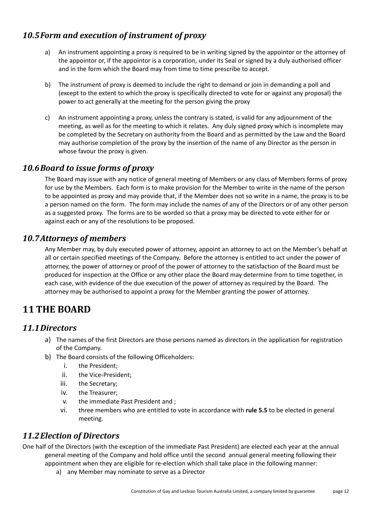## *10.5Form and execution of instrument of proxy*

- a) An instrument appointing a proxy is required to be in writing signed by the appointor or the attorney of the appointor or, if the appointor is a corporation, under its Seal or signed by a duly authorised officer and in the form which the Board may from time to time prescribe to accept.
- b) The instrument of proxy is deemed to include the right to demand or join in demanding a poll and (except to the extent to which the proxy is specifically directed to vote for or against any proposal) the power to act generally at the meeting for the person giving the proxy
- c) An instrument appointing a proxy, unless the contrary is stated, is valid for any adjournment of the meeting, as well as for the meeting to which it relates. Any duly signed proxy which is incomplete may be completed by the Secretary on authority from the Board and as permitted by the Law and the Board may authorise completion of the proxy by the insertion of the name of any Director as the person in whose favour the proxy is given.

### *10.6Board to issue forms of proxy*

The Board may issue with any notice of general meeting of Members or any class of Members forms of proxy for use by the Members. Each form is to make provision for the Member to write in the name of the person to be appointed as proxy and may provide that, if the Member does not so write in a name, the proxy is to be a person named on the form. The form may include the names of any of the Directors or of any other person as a suggested proxy. The forms are to be worded so that a proxy may be directed to vote either for or against each or any of the resolutions to be proposed.

### *10.7Attorneys of members*

Any Member may, by duly executed power of attorney, appoint an attorney to act on the Member's behalf at all or certain specified meetings of the Company. Before the attorney is entitled to act under the power of attorney, the power of attorney or proof of the power of attorney to the satisfaction of the Board must be produced for inspection at the Office or any other place the Board may determine from to time together, in each case, with evidence of the due execution of the power of attorney as required by the Board. The attorney may be authorised to appoint a proxy for the Member granting the power of attorney.

# **11 THE BOARD**

#### *11.1Directors*

- a) The names of the first Directors are those persons named as directors in the application for registration of the Company.
- b) The Board consists of the following Officeholders:
	- i. the President;
	- ii. the Vice-President;
	- iii. the Secretary;
	- iv. the Treasurer;
	- v. the immediate Past President and ;
	- vi. three members who are entitled to vote in accordance with **rule 5.5** to be elected in general meeting.

#### *11.2Election of Directors*

One half of the Directors (with the exception of the immediate Past President) are elected each year at the annual general meeting of the Company and hold office until the second annual general meeting following their appointment when they are eligible for re-election which shall take place in the following manner:

a) any Member may nominate to serve as a Director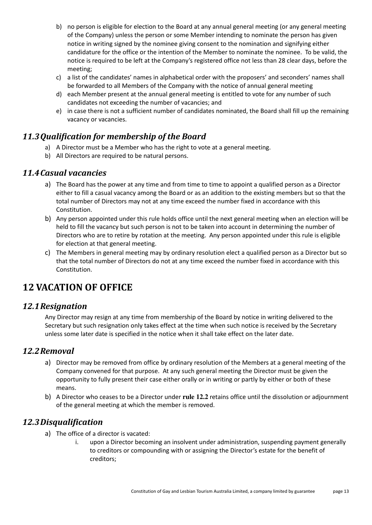- b) no person is eligible for election to the Board at any annual general meeting (or any general meeting of the Company) unless the person or some Member intending to nominate the person has given notice in writing signed by the nominee giving consent to the nomination and signifying either candidature for the office or the intention of the Member to nominate the nominee. To be valid, the notice is required to be left at the Company's registered office not less than 28 clear days, before the meeting;
- c) a list of the candidates' names in alphabetical order with the proposers' and seconders' names shall be forwarded to all Members of the Company with the notice of annual general meeting
- d) each Member present at the annual general meeting is entitled to vote for any number of such candidates not exceeding the number of vacancies; and
- e) in case there is not a sufficient number of candidates nominated, the Board shall fill up the remaining vacancy or vacancies.

## *11.3Qualification for membership of the Board*

- a) A Director must be a Member who has the right to vote at a general meeting.
- b) All Directors are required to be natural persons.

#### *11.4Casual vacancies*

- a) The Board has the power at any time and from time to time to appoint a qualified person as a Director either to fill a casual vacancy among the Board or as an addition to the existing members but so that the total number of Directors may not at any time exceed the number fixed in accordance with this Constitution.
- b) Any person appointed under this rule holds office until the next general meeting when an election will be held to fill the vacancy but such person is not to be taken into account in determining the number of Directors who are to retire by rotation at the meeting. Any person appointed under this rule is eligible for election at that general meeting.
- c) The Members in general meeting may by ordinary resolution elect a qualified person as a Director but so that the total number of Directors do not at any time exceed the number fixed in accordance with this Constitution.

## **12 VACATION OF OFFICE**

#### *12.1Resignation*

Any Director may resign at any time from membership of the Board by notice in writing delivered to the Secretary but such resignation only takes effect at the time when such notice is received by the Secretary unless some later date is specified in the notice when it shall take effect on the later date.

#### *12.2Removal*

- a) Director may be removed from office by ordinary resolution of the Members at a general meeting of the Company convened for that purpose. At any such general meeting the Director must be given the opportunity to fully present their case either orally or in writing or partly by either or both of these means.
- b) A Director who ceases to be a Director under **rule 12.2** retains office until the dissolution or adjournment of the general meeting at which the member is removed.

#### *12.3Disqualification*

- a) The office of a director is vacated:
	- i. upon a Director becoming an insolvent under administration, suspending payment generally to creditors or compounding with or assigning the Director's estate for the benefit of creditors;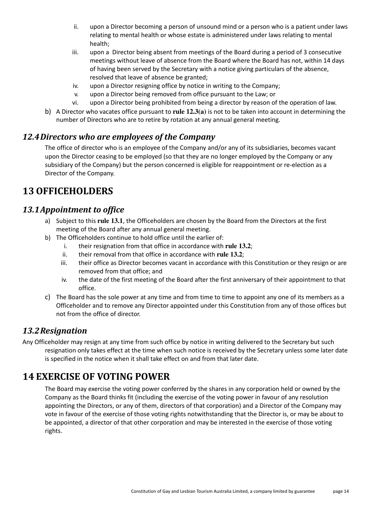- ii. upon a Director becoming a person of unsound mind or a person who is a patient under laws relating to mental health or whose estate is administered under laws relating to mental health;
- iii. upon a Director being absent from meetings of the Board during a period of 3 consecutive meetings without leave of absence from the Board where the Board has not, within 14 days of having been served by the Secretary with a notice giving particulars of the absence, resolved that leave of absence be granted;
- iv. upon a Director resigning office by notice in writing to the Company;
- v. upon a Director being removed from office pursuant to the Law; or
- vi. upon a Director being prohibited from being a director by reason of the operation of law.
- b) A Director who vacates office pursuant to **rule 12.3(a)** is not to be taken into account in determining the number of Directors who are to retire by rotation at any annual general meeting.

#### *12.4Directors who are employees of the Company*

The office of director who is an employee of the Company and/or any of its subsidiaries, becomes vacant upon the Director ceasing to be employed (so that they are no longer employed by the Company or any subsidiary of the Company) but the person concerned is eligible for reappointment or re-election as a Director of the Company.

## **13 OFFICEHOLDERS**

#### *13.1Appointment to office*

- a) Subject to this **rule 13.1**, the Officeholders are chosen by the Board from the Directors at the first meeting of the Board after any annual general meeting.
- b) The Officeholders continue to hold office until the earlier of:
	- i. their resignation from that office in accordance with **rule 13.2**;
	- ii. their removal from that office in accordance with **rule 13.2**;
	- iii. their office as Director becomes vacant in accordance with this Constitution or they resign or are removed from that office; and
	- iv. the date of the first meeting of the Board after the first anniversary of their appointment to that office.
- c) The Board has the sole power at any time and from time to time to appoint any one of its members as a Officeholder and to remove any Director appointed under this Constitution from any of those offices but not from the office of director.

#### *13.2Resignation*

Any Officeholder may resign at any time from such office by notice in writing delivered to the Secretary but such resignation only takes effect at the time when such notice is received by the Secretary unless some later date is specified in the notice when it shall take effect on and from that later date.

## **14 EXERCISE OF VOTING POWER**

The Board may exercise the voting power conferred by the shares in any corporation held or owned by the Company as the Board thinks fit (including the exercise of the voting power in favour of any resolution appointing the Directors, or any of them, directors of that corporation) and a Director of the Company may vote in favour of the exercise of those voting rights notwithstanding that the Director is, or may be about to be appointed, a director of that other corporation and may be interested in the exercise of those voting rights.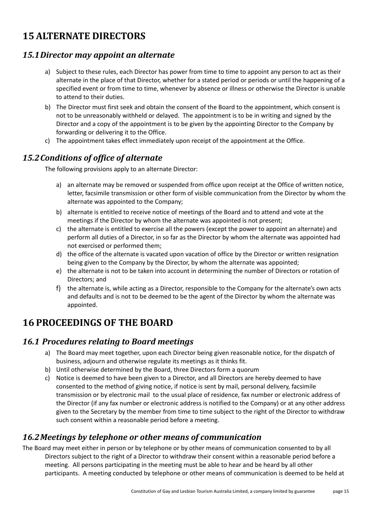# **15 ALTERNATE DIRECTORS**

#### *15.1Director may appoint an alternate*

- a) Subject to these rules, each Director has power from time to time to appoint any person to act as their alternate in the place of that Director, whether for a stated period or periods or until the happening of a specified event or from time to time, whenever by absence or illness or otherwise the Director is unable to attend to their duties.
- b) The Director must first seek and obtain the consent of the Board to the appointment, which consent is not to be unreasonably withheld or delayed. The appointment is to be in writing and signed by the Director and a copy of the appointment is to be given by the appointing Director to the Company by forwarding or delivering it to the Office.
- c) The appointment takes effect immediately upon receipt of the appointment at the Office.

#### *15.2Conditions of office of alternate*

The following provisions apply to an alternate Director:

- a) an alternate may be removed or suspended from office upon receipt at the Office of written notice, letter, facsimile transmission or other form of visible communication from the Director by whom the alternate was appointed to the Company;
- b) alternate is entitled to receive notice of meetings of the Board and to attend and vote at the meetings if the Director by whom the alternate was appointed is not present;
- c) the alternate is entitled to exercise all the powers (except the power to appoint an alternate) and perform all duties of a Director, in so far as the Director by whom the alternate was appointed had not exercised or performed them;
- d) the office of the alternate is vacated upon vacation of office by the Director or written resignation being given to the Company by the Director, by whom the alternate was appointed;
- e) the alternate is not to be taken into account in determining the number of Directors or rotation of Directors; and
- f) the alternate is, while acting as a Director, responsible to the Company for the alternate's own acts and defaults and is not to be deemed to be the agent of the Director by whom the alternate was appointed.

## **16 PROCEEDINGS OF THE BOARD**

#### *16.1 Procedures relating to Board meetings*

- a) The Board may meet together, upon each Director being given reasonable notice, for the dispatch of business, adjourn and otherwise regulate its meetings as it thinks fit.
- b) Until otherwise determined by the Board, three Directors form a quorum
- c) Notice is deemed to have been given to a Director, and all Directors are hereby deemed to have consented to the method of giving notice, if notice is sent by mail, personal delivery, facsimile transmission or by electronic mail to the usual place of residence, fax number or electronic address of the Director (if any fax number or electronic address is notified to the Company) or at any other address given to the Secretary by the member from time to time subject to the right of the Director to withdraw such consent within a reasonable period before a meeting.

#### *16.2Meetings by telephone or other means of communication*

The Board may meet either in person or by telephone or by other means of communication consented to by all Directors subject to the right of a Director to withdraw their consent within a reasonable period before a meeting. All persons participating in the meeting must be able to hear and be heard by all other participants. A meeting conducted by telephone or other means of communication is deemed to be held at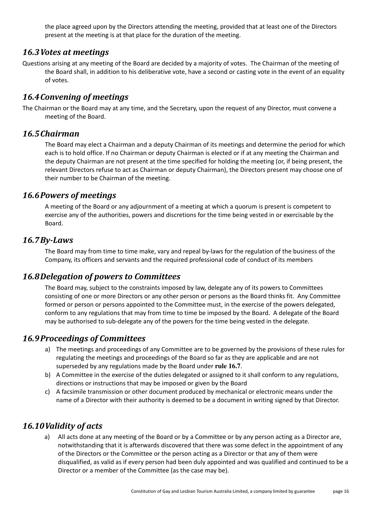the place agreed upon by the Directors attending the meeting, provided that at least one of the Directors present at the meeting is at that place for the duration of the meeting.

#### *16.3Votes at meetings*

Questions arising at any meeting of the Board are decided by a majority of votes. The Chairman of the meeting of the Board shall, in addition to his deliberative vote, have a second or casting vote in the event of an equality of votes.

#### *16.4Convening of meetings*

The Chairman or the Board may at any time, and the Secretary, upon the request of any Director, must convene a meeting of the Board.

#### *16.5Chairman*

The Board may elect a Chairman and a deputy Chairman of its meetings and determine the period for which each is to hold office. If no Chairman or deputy Chairman is elected or if at any meeting the Chairman and the deputy Chairman are not present at the time specified for holding the meeting (or, if being present, the relevant Directors refuse to act as Chairman or deputy Chairman), the Directors present may choose one of their number to be Chairman of the meeting.

#### *16.6Powers of meetings*

A meeting of the Board or any adjournment of a meeting at which a quorum is present is competent to exercise any of the authorities, powers and discretions for the time being vested in or exercisable by the Board.

#### *16.7By-Laws*

The Board may from time to time make, vary and repeal by-laws for the regulation of the business of the Company, its officers and servants and the required professional code of conduct of its members

#### *16.8Delegation of powers to Committees*

The Board may, subject to the constraints imposed by law, delegate any of its powers to Committees consisting of one or more Directors or any other person or persons as the Board thinks fit. Any Committee formed or person or persons appointed to the Committee must, in the exercise of the powers delegated, conform to any regulations that may from time to time be imposed by the Board. A delegate of the Board may be authorised to sub-delegate any of the powers for the time being vested in the delegate.

#### *16.9Proceedings of Committees*

- a) The meetings and proceedings of any Committee are to be governed by the provisions of these rules for regulating the meetings and proceedings of the Board so far as they are applicable and are not superseded by any regulations made by the Board under **rule 16.7**.
- b) A Committee in the exercise of the duties delegated or assigned to it shall conform to any regulations, directions or instructions that may be imposed or given by the Board
- c) A facsimile transmission or other document produced by mechanical or electronic means under the name of a Director with their authority is deemed to be a document in writing signed by that Director.

#### *16.10Validity of acts*

a) All acts done at any meeting of the Board or by a Committee or by any person acting as a Director are, notwithstanding that it is afterwards discovered that there was some defect in the appointment of any of the Directors or the Committee or the person acting as a Director or that any of them were disqualified, as valid as if every person had been duly appointed and was qualified and continued to be a Director or a member of the Committee (as the case may be).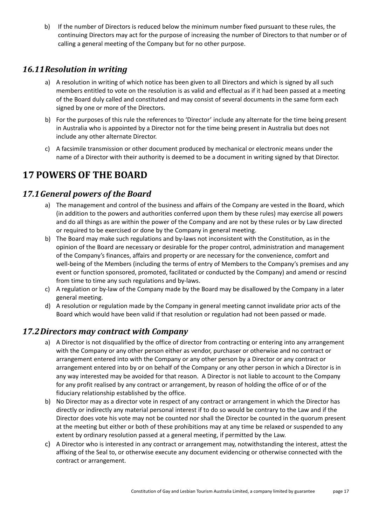b) If the number of Directors is reduced below the minimum number fixed pursuant to these rules, the continuing Directors may act for the purpose of increasing the number of Directors to that number or of calling a general meeting of the Company but for no other purpose.

### *16.11Resolution in writing*

- a) A resolution in writing of which notice has been given to all Directors and which is signed by all such members entitled to vote on the resolution is as valid and effectual as if it had been passed at a meeting of the Board duly called and constituted and may consist of several documents in the same form each signed by one or more of the Directors.
- b) For the purposes of this rule the references to 'Director' include any alternate for the time being present in Australia who is appointed by a Director not for the time being present in Australia but does not include any other alternate Director.
- c) A facsimile transmission or other document produced by mechanical or electronic means under the name of a Director with their authority is deemed to be a document in writing signed by that Director.

# **17 POWERS OF THE BOARD**

### *17.1General powers of the Board*

- a) The management and control of the business and affairs of the Company are vested in the Board, which (in addition to the powers and authorities conferred upon them by these rules) may exercise all powers and do all things as are within the power of the Company and are not by these rules or by Law directed or required to be exercised or done by the Company in general meeting.
- b) The Board may make such regulations and by-laws not inconsistent with the Constitution, as in the opinion of the Board are necessary or desirable for the proper control, administration and management of the Company's finances, affairs and property or are necessary for the convenience, comfort and well-being of the Members (including the terms of entry of Members to the Company's premises and any event or function sponsored, promoted, facilitated or conducted by the Company) and amend or rescind from time to time any such regulations and by-laws.
- c) A regulation or by-law of the Company made by the Board may be disallowed by the Company in a later general meeting.
- d) A resolution or regulation made by the Company in general meeting cannot invalidate prior acts of the Board which would have been valid if that resolution or regulation had not been passed or made.

#### *17.2Directors may contract with Company*

- a) A Director is not disqualified by the office of director from contracting or entering into any arrangement with the Company or any other person either as vendor, purchaser or otherwise and no contract or arrangement entered into with the Company or any other person by a Director or any contract or arrangement entered into by or on behalf of the Company or any other person in which a Director is in any way interested may be avoided for that reason. A Director is not liable to account to the Company for any profit realised by any contract or arrangement, by reason of holding the office of or of the fiduciary relationship established by the office.
- b) No Director may as a director vote in respect of any contract or arrangement in which the Director has directly or indirectly any material personal interest if to do so would be contrary to the Law and if the Director does vote his vote may not be counted nor shall the Director be counted in the quorum present at the meeting but either or both of these prohibitions may at any time be relaxed or suspended to any extent by ordinary resolution passed at a general meeting, if permitted by the Law.
- c) A Director who is interested in any contract or arrangement may, notwithstanding the interest, attest the affixing of the Seal to, or otherwise execute any document evidencing or otherwise connected with the contract or arrangement.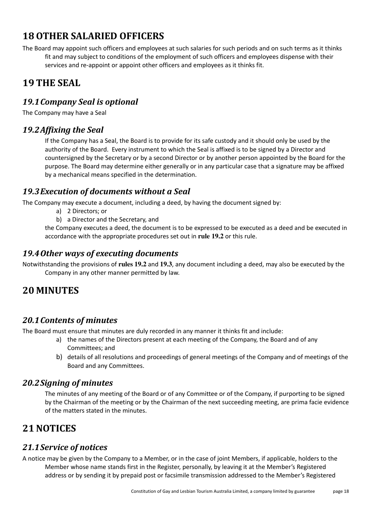# **18 OTHER SALARIED OFFICERS**

The Board may appoint such officers and employees at such salaries for such periods and on such terms as it thinks fit and may subject to conditions of the employment of such officers and employees dispense with their services and re-appoint or appoint other officers and employees as it thinks fit.

# **19 THE SEAL**

### *19.1Company Seal is optional*

The Company may have a Seal

### *19.2Affixing the Seal*

If the Company has a Seal, the Board is to provide for its safe custody and it should only be used by the authority of the Board. Every instrument to which the Seal is affixed is to be signed by a Director and countersigned by the Secretary or by a second Director or by another person appointed by the Board for the purpose. The Board may determine either generally or in any particular case that a signature may be affixed by a mechanical means specified in the determination.

#### *19.3Execution of documents without a Seal*

The Company may execute a document, including a deed, by having the document signed by:

a) 2 Directors; or

b) a Director and the Secretary, and

the Company executes a deed, the document is to be expressed to be executed as a deed and be executed in accordance with the appropriate procedures set out in **rule 19.2** or this rule.

#### *19.4Other ways of executing documents*

Notwithstanding the provisions of **rules 19.2** and **19.3**, any document including a deed, may also be executed by the Company in any other manner permitted by law.

## **20 MINUTES**

## *20.1Contents of minutes*

The Board must ensure that minutes are duly recorded in any manner it thinks fit and include:

- a) the names of the Directors present at each meeting of the Company, the Board and of any Committees; and
- b) details of all resolutions and proceedings of general meetings of the Company and of meetings of the Board and any Committees.

#### *20.2Signing of minutes*

The minutes of any meeting of the Board or of any Committee or of the Company, if purporting to be signed by the Chairman of the meeting or by the Chairman of the next succeeding meeting, are prima facie evidence of the matters stated in the minutes.

## **21 NOTICES**

#### *21.1Service of notices*

A notice may be given by the Company to a Member, or in the case of joint Members, if applicable, holders to the Member whose name stands first in the Register, personally, by leaving it at the Member's Registered address or by sending it by prepaid post or facsimile transmission addressed to the Member's Registered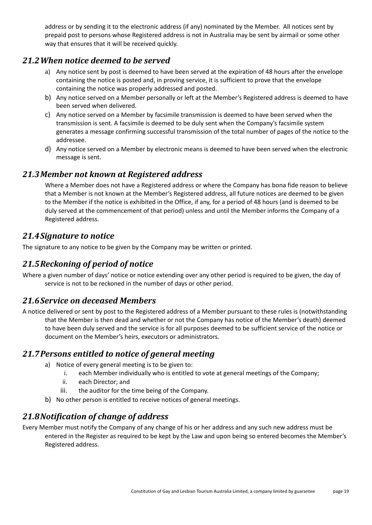address or by sending it to the electronic address (if any) nominated by the Member. All notices sent by prepaid post to persons whose Registered address is not in Australia may be sent by airmail or some other way that ensures that it will be received quickly.

#### *21.2When notice deemed to be served*

- a) Any notice sent by post is deemed to have been served at the expiration of 48 hours after the envelope containing the notice is posted and, in proving service, it is sufficient to prove that the envelope containing the notice was properly addressed and posted.
- b) Any notice served on a Member personally or left at the Member's Registered address is deemed to have been served when delivered.
- c) Any notice served on a Member by facsimile transmission is deemed to have been served when the transmission is sent. A facsimile is deemed to be duly sent when the Company's facsimile system generates a message confirming successful transmission of the total number of pages of the notice to the addressee.
- d) Any notice served on a Member by electronic means is deemed to have been served when the electronic message is sent.

#### *21.3Member not known at Registered address*

Where a Member does not have a Registered address or where the Company has bona fide reason to believe that a Member is not known at the Member's Registered address, all future notices are deemed to be given to the Member if the notice is exhibited in the Office, if any, for a period of 48 hours (and is deemed to be duly served at the commencement of that period) unless and until the Member informs the Company of a Registered address.

### *21.4Signature to notice*

The signature to any notice to be given by the Company may be written or printed.

## *21.5Reckoning of period of notice*

Where a given number of days' notice or notice extending over any other period is required to be given, the day of service is not to be reckoned in the number of days or other period.

#### *21.6Service on deceased Members*

A notice delivered or sent by post to the Registered address of a Member pursuant to these rules is (notwithstanding that the Member is then dead and whether or not the Company has notice of the Member's death) deemed to have been duly served and the service is for all purposes deemed to be sufficient service of the notice or document on the Member's heirs, executors or administrators.

#### *21.7Persons entitled to notice of general meeting*

- a) Notice of every general meeting is to be given to:
	- i. each Member individually who is entitled to vote at general meetings of the Company;
	- ii. each Director; and
	- iii. the auditor for the time being of the Company.
- b) No other person is entitled to receive notices of general meetings.

## *21.8Notification of change of address*

Every Member must notify the Company of any change of his or her address and any such new address must be entered in the Register as required to be kept by the Law and upon being so entered becomes the Member's Registered address.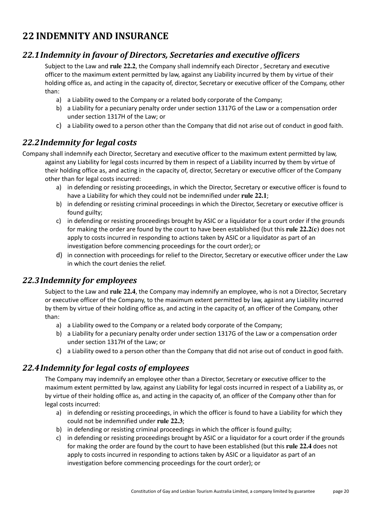# **22 INDEMNITY AND INSURANCE**

### *22.1Indemnity in favour of Directors, Secretaries and executive officers*

Subject to the Law and **rule 22.2**, the Company shall indemnify each Director , Secretary and executive officer to the maximum extent permitted by law, against any Liability incurred by them by virtue of their holding office as, and acting in the capacity of, director, Secretary or executive officer of the Company, other than:

- a) a Liability owed to the Company or a related body corporate of the Company;
- b) a Liability for a pecuniary penalty order under section 1317G of the Law or a compensation order under section 1317H of the Law; or
- c) a Liability owed to a person other than the Company that did not arise out of conduct in good faith.

## *22.2Indemnity for legal costs*

Company shall indemnify each Director, Secretary and executive officer to the maximum extent permitted by law, against any Liability for legal costs incurred by them in respect of a Liability incurred by them by virtue of their holding office as, and acting in the capacity of, director, Secretary or executive officer of the Company other than for legal costs incurred:

- a) in defending or resisting proceedings, in which the Director, Secretary or executive officer is found to have a Liability for which they could not be indemnified under **rule 22.1**;
- b) in defending or resisting criminal proceedings in which the Director, Secretary or executive officer is found guilty;
- c) in defending or resisting proceedings brought by ASIC or a liquidator for a court order if the grounds for making the order are found by the court to have been established (but this **rule 22.2(c)** does not apply to costs incurred in responding to actions taken by ASIC or a liquidator as part of an investigation before commencing proceedings for the court order); or
- d) in connection with proceedings for relief to the Director, Secretary or executive officer under the Law in which the court denies the relief.

## *22.3Indemnity for employees*

Subject to the Law and **rule 22.4**, the Company may indemnify an employee, who is not a Director, Secretary or executive officer of the Company, to the maximum extent permitted by law, against any Liability incurred by them by virtue of their holding office as, and acting in the capacity of, an officer of the Company, other than:

- a) a Liability owed to the Company or a related body corporate of the Company;
- b) a Liability for a pecuniary penalty order under section 1317G of the Law or a compensation order under section 1317H of the Law; or
- c) a Liability owed to a person other than the Company that did not arise out of conduct in good faith.

## *22.4Indemnity for legal costs of employees*

The Company may indemnify an employee other than a Director, Secretary or executive officer to the maximum extent permitted by law, against any Liability for legal costs incurred in respect of a Liability as, or by virtue of their holding office as, and acting in the capacity of, an officer of the Company other than for legal costs incurred:

- a) in defending or resisting proceedings, in which the officer is found to have a Liability for which they could not be indemnified under **rule 22.3**;
- b) in defending or resisting criminal proceedings in which the officer is found guilty;
- c) in defending or resisting proceedings brought by ASIC or a liquidator for a court order if the grounds for making the order are found by the court to have been established (but this **rule 22.4** does not apply to costs incurred in responding to actions taken by ASIC or a liquidator as part of an investigation before commencing proceedings for the court order); or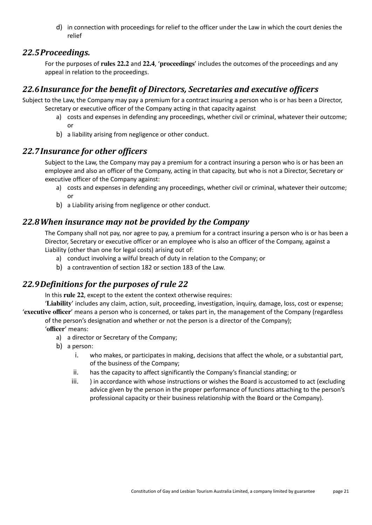d) in connection with proceedings for relief to the officer under the Law in which the court denies the relief

#### *22.5Proceedings.*

For the purposes of **rules 22.2** and **22.4**, '**proceedings**' includes the outcomes of the proceedings and any appeal in relation to the proceedings.

## *22.6Insurance for the benefit of Directors, Secretaries and executive officers*

Subject to the Law, the Company may pay a premium for a contract insuring a person who is or has been a Director, Secretary or executive officer of the Company acting in that capacity against

- a) costs and expenses in defending any proceedings, whether civil or criminal, whatever their outcome; or
- b) a liability arising from negligence or other conduct.

#### *22.7Insurance for other officers*

Subject to the Law, the Company may pay a premium for a contract insuring a person who is or has been an employee and also an officer of the Company, acting in that capacity, but who is not a Director, Secretary or executive officer of the Company against:

- a) costs and expenses in defending any proceedings, whether civil or criminal, whatever their outcome; or
- b) a Liability arising from negligence or other conduct.

#### *22.8When insurance may not be provided by the Company*

The Company shall not pay, nor agree to pay, a premium for a contract insuring a person who is or has been a Director, Secretary or executive officer or an employee who is also an officer of the Company, against a Liability (other than one for legal costs) arising out of:

- a) conduct involving a wilful breach of duty in relation to the Company; or
- b) a contravention of section 182 or section 183 of the Law.

## *22.9Definitions for the purposes of rule 22*

In this **rule 22**, except to the extent the context otherwise requires:

'**Liability**' includes any claim, action, suit, proceeding, investigation, inquiry, damage, loss, cost or expense; '**executive officer**' means a person who is concerned, or takes part in, the management of the Company (regardless of the person's designation and whether or not the person is a director of the Company); '**officer**' means:

- a) a director or Secretary of the Company;
- b) a person:
	- i. who makes, or participates in making, decisions that affect the whole, or a substantial part, of the business of the Company;
	- ii. has the capacity to affect significantly the Company's financial standing; or
	- iii. ) in accordance with whose instructions or wishes the Board is accustomed to act (excluding advice given by the person in the proper performance of functions attaching to the person's professional capacity or their business relationship with the Board or the Company).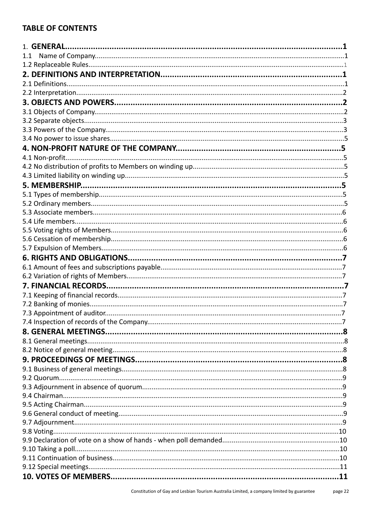### **TABLE OF CONTENTS**

| 1.1 |  |
|-----|--|
|     |  |
|     |  |
|     |  |
|     |  |
|     |  |
|     |  |
|     |  |
|     |  |
|     |  |
|     |  |
|     |  |
|     |  |
|     |  |
|     |  |
|     |  |
|     |  |
|     |  |
|     |  |
|     |  |
|     |  |
|     |  |
|     |  |
|     |  |
|     |  |
|     |  |
|     |  |
|     |  |
|     |  |
|     |  |
|     |  |
|     |  |
|     |  |
|     |  |
|     |  |
|     |  |
|     |  |
|     |  |
|     |  |
|     |  |
|     |  |
|     |  |
|     |  |
|     |  |
|     |  |
|     |  |
|     |  |
|     |  |
|     |  |